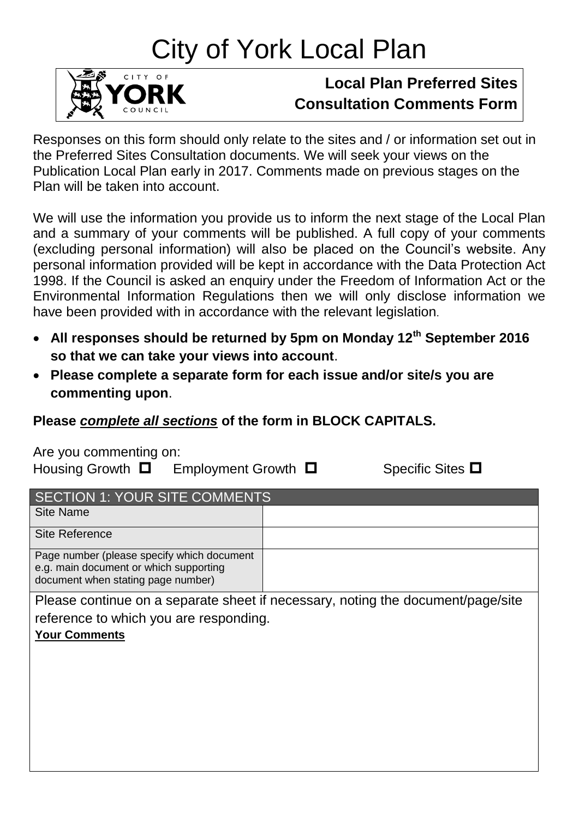# City of York Local Plan



## **Local Plan Preferred Sites Consultation Comments Form**

Responses on this form should only relate to the sites and / or information set out in the Preferred Sites Consultation documents. We will seek your views on the Publication Local Plan early in 2017. Comments made on previous stages on the Plan will be taken into account.

We will use the information you provide us to inform the next stage of the Local Plan and a summary of your comments will be published. A full copy of your comments (excluding personal information) will also be placed on the Council's website. Any personal information provided will be kept in accordance with the Data Protection Act 1998. If the Council is asked an enquiry under the Freedom of Information Act or the Environmental Information Regulations then we will only disclose information we have been provided with in accordance with the relevant legislation.

- **All responses should be returned by 5pm on Monday 12th September 2016 so that we can take your views into account**.
- **Please complete a separate form for each issue and/or site/s you are commenting upon**.

### **Please** *complete all sections* **of the form in BLOCK CAPITALS.**

Are you commenting on:

Housing Growth  $\Box$  Employment Growth  $\Box$  Specific Sites  $\Box$ 

| <b>SECTION 1: YOUR SITE COMMENTS</b>                                                                                       |                                                                                 |  |
|----------------------------------------------------------------------------------------------------------------------------|---------------------------------------------------------------------------------|--|
| <b>Site Name</b>                                                                                                           |                                                                                 |  |
| <b>Site Reference</b>                                                                                                      |                                                                                 |  |
| Page number (please specify which document<br>e.g. main document or which supporting<br>document when stating page number) |                                                                                 |  |
| reference to which you are responding.<br><b>Your Comments</b>                                                             | Please continue on a separate sheet if necessary, noting the document/page/site |  |
|                                                                                                                            |                                                                                 |  |